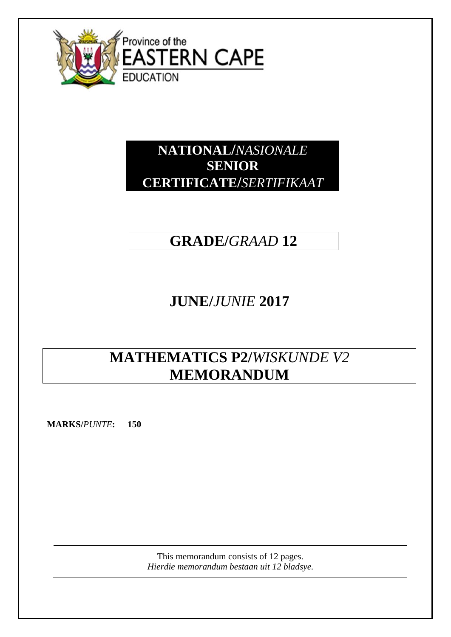

# **NATIONAL/***NASIONALE* **SENIOR CERTIFICATE/***SERTIFIKAAT*

# **GRADE/***GRAAD* **12**

# **JUNE/***JUNIE* **2017**

# **MATHEMATICS P2/***WISKUNDE V2* **MEMORANDUM**

**MARKS/***PUNTE***: 150**

This memorandum consists of 12 pages. *Hierdie memorandum bestaan uit 12 bladsye.*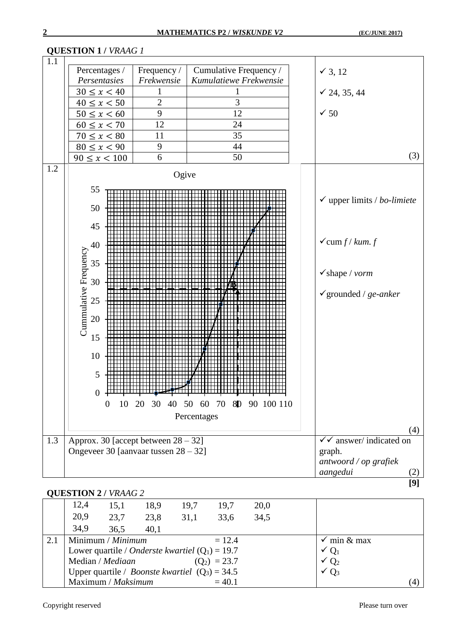|            | VULOTION I <i>I VINA</i> O <i>I</i>                                                                                                                                             |                                                                                 |                                                                                      |                                                                                                               |
|------------|---------------------------------------------------------------------------------------------------------------------------------------------------------------------------------|---------------------------------------------------------------------------------|--------------------------------------------------------------------------------------|---------------------------------------------------------------------------------------------------------------|
| 1.1<br>1.2 | Percentages /<br>Persentasies<br>$30 \le x < 40$<br>$40 \le x < 50$<br>$50 \le x < 60$<br>$60 \le x < 70$<br>$70 \le x < 80$<br>$80 \le x < 90$<br>$90 \le x < 100$<br>55<br>50 | Frequency /<br>Frekwensie<br>$\overline{2}$<br>9<br>12<br>11<br>9<br>6<br>Ogive | Cumulative Frequency /<br>Kumulatiewe Frekwensie<br>3<br>12<br>24<br>35<br>44<br>50  | $\checkmark$ 3, 12<br>$\checkmark$ 24, 35, 44<br>$\times$ 50<br>(3)<br>$\checkmark$ upper limits / bo-limiete |
|            | 45<br>40<br>Cummulative Frequency<br>35<br>30<br>25<br>20<br>15<br>10<br>5<br>$\theta$<br>$\overline{0}$                                                                        |                                                                                 | <del>┙╵╵╏╵╵╵╏╌╌╝╌╌╌┆╵╵╵╏╵</del><br>10 20 30 40 50 60 70 8D 90 100 110<br>Percentages | $\checkmark$ cum $f/kum.$ $f$<br>$\checkmark$ shape / vorm<br>$\checkmark$ grounded / ge-anker<br>(4)         |
| 1.3        | Approx. 30 [accept between $28 - 32$ ]<br>Ongeveer 30 [aanvaar tussen 28 - 32]                                                                                                  |                                                                                 |                                                                                      | $\checkmark$ answer/indicated on<br>graph.<br>antwoord / op grafiek                                           |
|            |                                                                                                                                                                                 |                                                                                 |                                                                                      | aangedui<br>(2)                                                                                               |
|            |                                                                                                                                                                                 |                                                                                 |                                                                                      | [9]                                                                                                           |

## **QUESTION 1 /** *VRAAG 1*

## **QUESTION 2 /** *VRAAG 2*

|     | 12,4 | 15,1                                                       | 18,9 | 19,7 | 19,7           | 20,0 |                        |     |
|-----|------|------------------------------------------------------------|------|------|----------------|------|------------------------|-----|
|     | 20,9 | 23,7                                                       | 23,8 | 31,1 | 33,6           | 34,5 |                        |     |
|     | 34,9 | 36.5                                                       | 40,1 |      |                |      |                        |     |
| 2.1 |      | Minimum / Minimum                                          |      |      | $= 12.4$       |      | $\checkmark$ min & max |     |
|     |      | Lower quartile / <i>Onderste kwartiel</i> ( $Q_1$ ) = 19.7 |      |      |                |      | $\vee Q_1$             |     |
|     |      | Median / <i>Mediaan</i>                                    |      |      | $(Q_2) = 23.7$ |      | $\sqrt{Q_2}$           |     |
|     |      | Upper quartile / <i>Boonste kwartiel</i> $(Q_3) = 34.5$    |      |      |                |      | $\sqrt{Q_3}$           |     |
|     |      | Maximum / Maksimum                                         |      |      | $= 40.1$       |      |                        | (4) |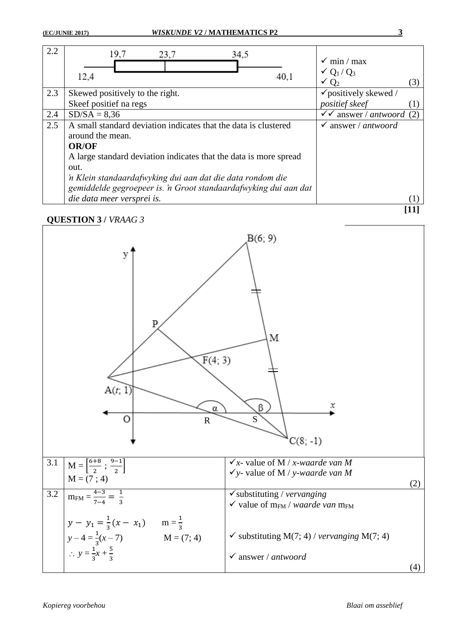| 2.2 | 19,7<br>23,7<br>34,5                                              | $\checkmark$ min / max              |
|-----|-------------------------------------------------------------------|-------------------------------------|
|     | 12,4<br>40,1                                                      | $\sqrt{Q_1/Q_3}$                    |
|     |                                                                   | $\check{Q}_2$<br>(3)                |
| 2.3 | Skewed positively to the right.                                   | $\checkmark$ positively skewed /    |
|     | Skeef positief na regs                                            | <i>positief</i> skeef               |
| 2.4 | $SD/SA = 8,36$                                                    | $\checkmark$ answer / antwoord (2)  |
| 2.5 | A small standard deviation indicates that the data is clustered   | answer / $antwoord$<br>$\checkmark$ |
|     | around the mean.                                                  |                                     |
|     | <b>OR/OF</b>                                                      |                                     |
|     | A large standard deviation indicates that the data is more spread |                                     |
|     | out.                                                              |                                     |
|     | 'n Klein standaardafwyking dui aan dat die data rondom die        |                                     |
|     | gemiddelde gegroepeer is. 'n Groot standaardafwyking dui aan dat  |                                     |
|     | die data meer versprei is.                                        |                                     |

### **QUESTION 3 /** *VRAAG 3*



**[11]**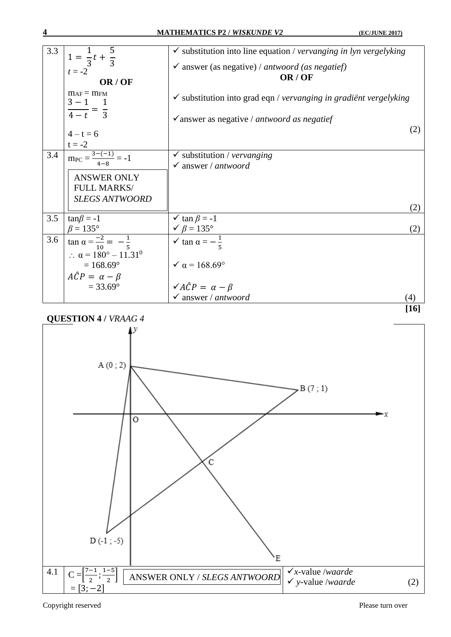| 3.3 |                                                     | $\checkmark$ substitution into line equation / vervanging in lyn vergelyking |                  |
|-----|-----------------------------------------------------|------------------------------------------------------------------------------|------------------|
|     | $1 = \frac{1}{3}t + \frac{1}{3}$                    | $\checkmark$ answer (as negative) / antwoord (as negatief)                   |                  |
|     | $t = -2$                                            | OR/OF                                                                        |                  |
|     | OR/OF                                               |                                                                              |                  |
|     | $m_{AF} = m_{FM}$<br>$3 - 1$ 1                      | $\checkmark$ substitution into grad eqn / vervanging in gradient vergelyking |                  |
|     | $\frac{ }{4-t} = \frac{ }{3}$                       | $\checkmark$ answer as negative / antwoord as negatief                       |                  |
|     |                                                     |                                                                              | (2)              |
|     | $4 - t = 6$                                         |                                                                              |                  |
|     | $t = -2$                                            |                                                                              |                  |
| 3.4 | $\overline{\text{mpc}} = \frac{3-(-1)}{4-8} = -1$   | $\checkmark$ substitution / vervanging                                       |                  |
|     |                                                     | $\checkmark$ answer / antwoord                                               |                  |
|     | <b>ANSWER ONLY</b>                                  |                                                                              |                  |
|     | FULL MARKS/                                         |                                                                              |                  |
|     | <b>SLEGS ANTWOORD</b>                               |                                                                              |                  |
|     |                                                     |                                                                              | (2)              |
| 3.5 | $tan\beta = -1$                                     | $\checkmark$ tan $\beta = -1$                                                |                  |
|     | $\beta = 135^\circ$                                 | $\checkmark$ $\beta$ = 135°                                                  | (2)              |
| 3.6 | $\tan \alpha = \frac{-2}{10} = -\frac{1}{5}$        | $\checkmark$ tan $\alpha = -\frac{1}{7}$                                     |                  |
|     | $\therefore \ \alpha = 180^{\circ} - 11.31^{\circ}$ |                                                                              |                  |
|     | $= 168.69$ °                                        | $\sqrt{\alpha} = 168.69^{\circ}$                                             |                  |
|     | $A\hat{C}P = \alpha - \beta$                        |                                                                              |                  |
|     | $= 33.69$ °                                         | $\sqrt{A}\hat{C}P = \alpha - \beta$                                          |                  |
|     |                                                     | $\checkmark$ answer / antwoord                                               | $\left(4\right)$ |
|     |                                                     |                                                                              |                  |



Copyright reserved Please turn over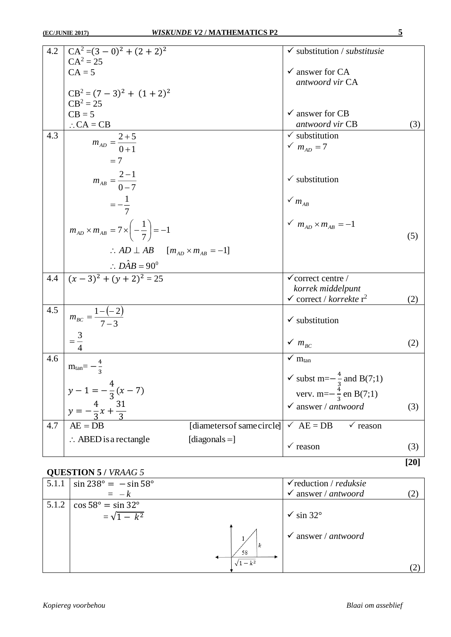|     | 4.2 $CA^{2} = (3 - 0)^{2} + (2 + 2)^{2}$                         | $\checkmark$ substitution / substitusie                                 |        |
|-----|------------------------------------------------------------------|-------------------------------------------------------------------------|--------|
|     | $CA^2 = 25$<br>$CA = 5$                                          | $\checkmark$ answer for CA                                              |        |
|     |                                                                  | antwoord vir CA                                                         |        |
|     | $CB^2 = (7-3)^2 + (1+2)^2$<br>$CB^2 = 25$                        |                                                                         |        |
|     | $CB = 5$<br>$\therefore$ CA = CB                                 | $\checkmark$ answer for CB<br>antwoord vir CB                           | (3)    |
| 4.3 |                                                                  | $\checkmark$ substitution                                               |        |
|     | $m_{AD} = \frac{2+5}{0+1}$                                       | $m_{AD} = 7$                                                            |        |
|     | $=7$                                                             |                                                                         |        |
|     | $m_{AB} = \frac{2-1}{0-7}$                                       | $\checkmark$ substitution                                               |        |
|     | $=-\frac{1}{7}$                                                  | $\checkmark$ $m_{AB}$                                                   |        |
|     |                                                                  | $m_{AD}$ × $m_{AB}$ = -1                                                |        |
|     | $m_{AD} \times m_{AB} = 7 \times \left(-\frac{1}{7}\right) = -1$ |                                                                         | (5)    |
|     | $\therefore AD \perp AB \quad [m_{AD} \times m_{AB} = -1]$       |                                                                         |        |
|     | $\therefore D\hat{A}B = 90^0$                                    |                                                                         |        |
| 4.4 | $(x-3)^2 + (y+2)^2 = 25$                                         | $\checkmark$ correct centre /                                           |        |
|     |                                                                  | korrek middelpunt<br>$\checkmark$ correct / korrekte r <sup>2</sup>     | (2)    |
| 4.5 |                                                                  |                                                                         |        |
|     | $m_{BC} = \frac{1 - (-2)}{7 - 3}$                                | $\checkmark$ substitution                                               |        |
|     | $=\frac{3}{4}$                                                   | $\checkmark~m_{_{BC}}$                                                  | (2)    |
| 4.6 | $m_{tan}$ = -                                                    | $\checkmark$ m <sub>tan</sub>                                           |        |
|     |                                                                  | $\checkmark$ subst m= $-\frac{4}{3}$ and B(7;1)                         |        |
|     | $y-1=-\frac{4}{3}(x-7)$                                          | verv. m= $-\frac{4}{3}$ en B(7;1)                                       |        |
|     | $y=-\frac{4}{3}x+\frac{31}{3}$                                   | $\checkmark$ answer / antwoord                                          | (3)    |
| 4.7 | $AE = DB$                                                        | [diametersof samecircle]<br>$\checkmark$ AE = DB<br>$\checkmark$ reason |        |
|     | $\therefore$ ABED is a rectangle<br>[diagonals $=$ ]             | $\checkmark$ reason                                                     | (3)    |
|     |                                                                  |                                                                         |        |
|     |                                                                  |                                                                         | $[20]$ |

# **QUESTION 5 /** *VRAAG 5*

| 5.1.1 | $\sin 238^\circ = -\sin 58^\circ$<br>$=$ $-k$                            |                 | $\checkmark$ reduction / <i>reduksie</i><br>$\checkmark$ answer / antwoord |  |
|-------|--------------------------------------------------------------------------|-----------------|----------------------------------------------------------------------------|--|
|       | $5.1.2 \mid \cos 58^\circ = \sin 32^\circ$<br>$=\sqrt{1-\overline{k^2}}$ |                 | $\checkmark$ sin 32°                                                       |  |
|       |                                                                          | 58<br>$1 - k^2$ | $\checkmark$ answer / antwoord                                             |  |
|       |                                                                          |                 |                                                                            |  |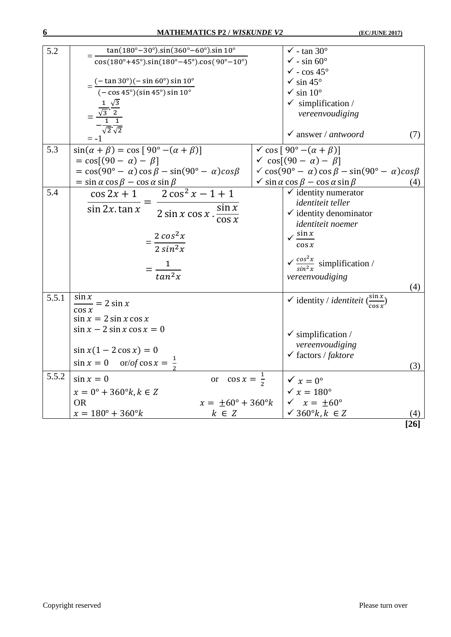| 5.2   | $tan(180^\circ - 30^\circ).sin(360^\circ - 60^\circ).sin 10^\circ$                                    | $\checkmark$ - tan 30°                                                           |        |
|-------|-------------------------------------------------------------------------------------------------------|----------------------------------------------------------------------------------|--------|
|       | $cos(180^\circ + 45^\circ).sin(180^\circ - 45^\circ).cos(90^\circ - 10^\circ)$                        | $\checkmark$ - sin 60 $\circ$                                                    |        |
|       |                                                                                                       | $\sqrt{\ }}$ - $\cos 45^\circ$                                                   |        |
|       | $=\frac{(-\tan 30^\circ)(-\sin 60^\circ)\sin 10^\circ}{(-\cos 45^\circ)(\sin 45^\circ)\sin 10^\circ}$ | $\checkmark$ sin 45°                                                             |        |
|       |                                                                                                       | $\checkmark$ sin 10°                                                             |        |
|       |                                                                                                       | $\checkmark$ simplification /                                                    |        |
|       | $=\frac{\frac{1}{\sqrt{3}}\cdot\frac{\sqrt{3}}{2}}{-\frac{1}{2}\cdot\frac{1}{2}}$                     | vereenvoudiging                                                                  |        |
|       | $-\frac{1}{\sqrt{2}}\cdot\frac{1}{\sqrt{2}}$                                                          |                                                                                  |        |
|       | $= -1$                                                                                                | $\checkmark$ answer / antwoord                                                   | (7)    |
| 5.3   | $sin(\alpha + \beta) = cos [90^{\circ} - (\alpha + \beta)]$                                           | $\checkmark$ cos [90° – $(\alpha + \beta)$ ]                                     |        |
|       | $= cos[(90 - \alpha) - \beta]$                                                                        | $\checkmark$ cos[(90 - $\alpha$ ) - $\beta$ ]                                    |        |
|       | $= cos(90^{\circ} - \alpha) cos \beta - sin(90^{\circ} - \alpha) cos \beta$                           | $\sqrt{\cos(90^\circ - \alpha)} \cos \beta - \sin(90^\circ - \alpha) \cos \beta$ |        |
|       | $=$ sin $\alpha$ cos $\beta$ – cos $\alpha$ sin $\beta$                                               | $\checkmark$ sin $\alpha$ cos $\beta$ – cos $\alpha$ sin $\beta$                 | (4)    |
| 5.4   | $\cos 2x + 1$ $2 \cos^2 x - 1 + 1$                                                                    | $\checkmark$ identity numerator                                                  |        |
|       | $\sin 2x \cdot \tan x$                                                                                | identiteit teller                                                                |        |
|       | $2 \sin x \cos x \cdot \frac{\sin x}{\cos x}$                                                         | $\checkmark$ identity denominator                                                |        |
|       |                                                                                                       | identiteit noemer                                                                |        |
|       | $=\frac{2 \cos^2 x}{2 \sin^2 x}$                                                                      | $\sqrt{\frac{\sin x}{x}}$                                                        |        |
|       |                                                                                                       | $\cos x$                                                                         |        |
|       |                                                                                                       | $\sqrt{\frac{\cos^2 x}{\sin^2 x}}$ simplification /                              |        |
|       | $=\frac{1}{\tan^2 x}$                                                                                 | vereenvoudiging                                                                  |        |
|       |                                                                                                       |                                                                                  | (4)    |
| 5.5.1 |                                                                                                       |                                                                                  |        |
|       | $\frac{\sin x}{\cos x} = 2 \sin x$                                                                    | v identity / <i>identiteit</i> $\frac{\sin x}{\cos x}$                           |        |
|       | $\sin x = 2 \sin x \cos x$                                                                            |                                                                                  |        |
|       | $\sin x - 2 \sin x \cos x = 0$                                                                        |                                                                                  |        |
|       |                                                                                                       | $\checkmark$ simplification /                                                    |        |
|       | $\sin x(1 - 2\cos x) = 0$                                                                             | vereenvoudiging                                                                  |        |
|       | $\sin x = 0$ or/of $\cos x = \frac{1}{2}$                                                             | $\checkmark$ factors / faktore                                                   |        |
|       |                                                                                                       |                                                                                  | (3)    |
| 5.5.2 | $\cos x = \frac{1}{2}$<br>$\sin x = 0$<br><b>or</b>                                                   | $\checkmark$ $x = 0^\circ$                                                       |        |
|       | $x = 0^{\circ} + 360^{\circ}k, k \in Z$                                                               | $\times x = 180^\circ$                                                           |        |
|       | $x = \pm 60^{\circ} + 360^{\circ}k$<br><b>OR</b>                                                      | $\sqrt{x} = \pm 60^{\circ}$                                                      |        |
|       | $x = 180^{\circ} + 360^{\circ}k$<br>$k \in \mathbb{Z}$                                                | $\checkmark$ 360°k, $k \in \mathbb{Z}$                                           |        |
|       |                                                                                                       |                                                                                  | $[26]$ |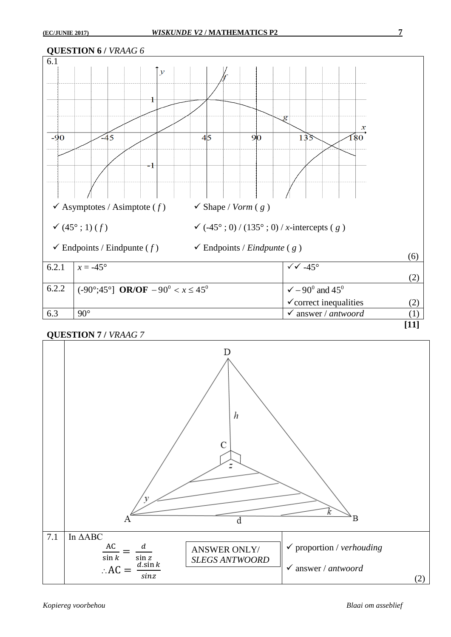

### **QUESTION 7 /** *VRAAG 7*

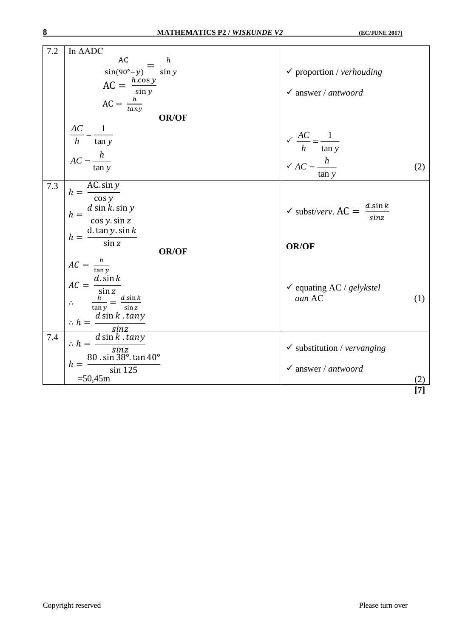| 7.2 | In $\triangle ADC$                                                                                                                                                                                                                                   |                                                         |       |
|-----|------------------------------------------------------------------------------------------------------------------------------------------------------------------------------------------------------------------------------------------------------|---------------------------------------------------------|-------|
|     |                                                                                                                                                                                                                                                      |                                                         |       |
|     | $\frac{AC}{\sin(90^\circ - y)} = \frac{h}{\sin y}$                                                                                                                                                                                                   | $\checkmark$ proportion / verhouding                    |       |
|     |                                                                                                                                                                                                                                                      |                                                         |       |
|     | $AC = \frac{h \cdot cos y}{sin y}$                                                                                                                                                                                                                   | $\checkmark$ answer / antwoord                          |       |
|     |                                                                                                                                                                                                                                                      |                                                         |       |
|     | $AC = \frac{h}{\tan y}$                                                                                                                                                                                                                              |                                                         |       |
|     | <b>OR/OF</b>                                                                                                                                                                                                                                         |                                                         |       |
|     |                                                                                                                                                                                                                                                      |                                                         |       |
|     | $\frac{AC}{h} = \frac{1}{\tan y}$                                                                                                                                                                                                                    |                                                         |       |
|     |                                                                                                                                                                                                                                                      | $\sqrt{\frac{AC}{h}} = \frac{1}{\tan y}$                |       |
|     | $AC = \frac{h}{1 - h}$                                                                                                                                                                                                                               |                                                         |       |
|     | tan y                                                                                                                                                                                                                                                | $\checkmark$ AC = $\frac{h}{\sqrt{1 - h}}$              | (2)   |
|     |                                                                                                                                                                                                                                                      | tan y                                                   |       |
| 7.3 | $h = \frac{AC \cdot \sin y}{\cos y}$                                                                                                                                                                                                                 |                                                         |       |
|     |                                                                                                                                                                                                                                                      |                                                         |       |
|     |                                                                                                                                                                                                                                                      |                                                         |       |
|     | $h = \frac{d \sin k \cdot \sin y}{\cos y \cdot \sin z}$                                                                                                                                                                                              | $\checkmark$ subst/verv. AC = $\frac{d.\sin k}{\sin k}$ |       |
|     |                                                                                                                                                                                                                                                      |                                                         |       |
|     |                                                                                                                                                                                                                                                      |                                                         |       |
|     |                                                                                                                                                                                                                                                      |                                                         |       |
|     |                                                                                                                                                                                                                                                      |                                                         |       |
|     | $h = \frac{\text{d.} \tan y . \sin k}{\sin z}$<br><b>OR/OF</b>                                                                                                                                                                                       | <b>OR/OF</b>                                            |       |
|     |                                                                                                                                                                                                                                                      |                                                         |       |
|     | $AC = \frac{h}{\tan y}$                                                                                                                                                                                                                              |                                                         |       |
|     |                                                                                                                                                                                                                                                      |                                                         |       |
|     |                                                                                                                                                                                                                                                      | $\checkmark$ equating AC / gelykstel                    |       |
|     |                                                                                                                                                                                                                                                      | aan AC                                                  | (1)   |
|     | $AC = \frac{d \cdot \sin k}{\sin z}$<br>$\therefore \frac{h}{\tan y} = \frac{d \cdot \sin k}{\sin z}$                                                                                                                                                |                                                         |       |
|     |                                                                                                                                                                                                                                                      |                                                         |       |
|     |                                                                                                                                                                                                                                                      |                                                         |       |
| 7.4 |                                                                                                                                                                                                                                                      |                                                         |       |
|     |                                                                                                                                                                                                                                                      |                                                         |       |
|     |                                                                                                                                                                                                                                                      | $\checkmark$ substitution / vervanging                  |       |
|     |                                                                                                                                                                                                                                                      |                                                         |       |
|     | $\therefore h = \frac{d \sin k \cdot \tan y}{\sin k \cdot \tan y}$<br>$\therefore h = \frac{d \sin k \cdot \tan y}{\sin k \cdot \tan y}$<br>$h = \frac{80 \cdot \sin 38^\circ \cdot \tan 40^\circ}{\sin 38^\circ \cdot \tan 40^\circ}$<br>$\sin 125$ | $\checkmark$ answer / antwoord                          |       |
|     | $=50,45m$                                                                                                                                                                                                                                            |                                                         | $[7]$ |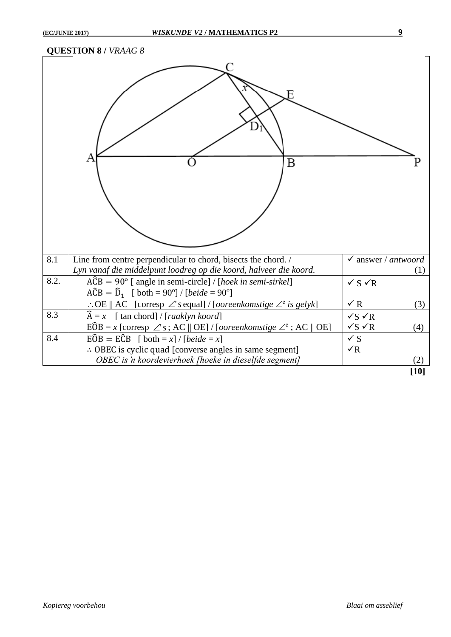### **QUESTION 8 /** *VRAAG 8*

|      | Β                                                                                                               |                                |        |
|------|-----------------------------------------------------------------------------------------------------------------|--------------------------------|--------|
| 8.1  | Line from centre perpendicular to chord, bisects the chord. /                                                   | $\checkmark$ answer / antwoord |        |
|      | Lyn vanaf die middelpunt loodreg op die koord, halveer die koord.                                               |                                | (1)    |
| 8.2. | $\angle ACB = 90^\circ$ [ angle in semi-circle] / [hoek in semi-sirkel]                                         | $\checkmark$ S $\checkmark$ R  |        |
|      | $A\hat{C}B = \hat{D}_1$ [ both = 90°] / [ <i>beide</i> = 90°]                                                   |                                |        |
|      | : OE    AC [corresp $\angle$ 's equal] / [ <i>ooreenkomstige</i> $\angle$ <sup>e</sup> is gelyk]                | $\checkmark$ R                 | (3)    |
| 8.3  | $\widehat{A} = x$ [ tan chord] / [ <i>raaklyn koord</i> ]                                                       | $\sqrt{s}$ $\sqrt{R}$          |        |
|      | $E\widehat{O}B = x$ [corresp $\angle$ 's; AC    OE] / [ <i>ooreenkomstige</i> $\angle$ <sup>e</sup> ; AC    OE] | $\sqrt{s}$ $\sqrt{R}$          | (4)    |
| 8.4  | $E\widehat{O}B = E\widehat{C}B$ [ both = x] / [beide = x]                                                       | $\checkmark$ S                 |        |
|      | $\therefore$ OBEC is cyclic quad [converse angles in same segment]                                              | $\sqrt{R}$                     |        |
|      | OBEC is 'n koordevierhoek [hoeke in dieselfde segment]                                                          |                                | (2)    |
|      |                                                                                                                 |                                | $[10]$ |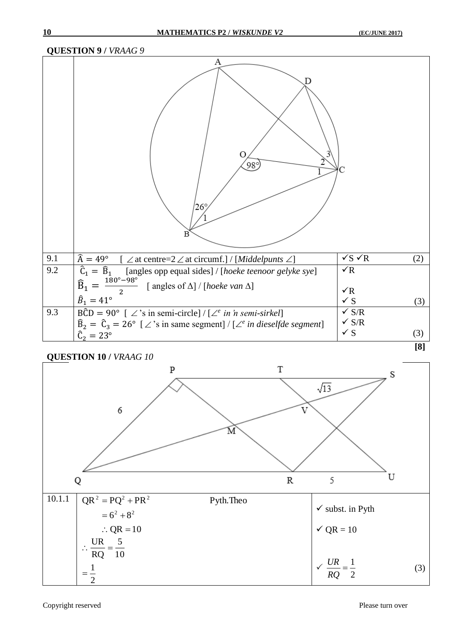## **QUESTION 9 /** *VRAAG 9*

|     | А<br>Ω<br>$98^\circ$<br>$26^{\circ}$<br>B                                                                |                              |     |
|-----|----------------------------------------------------------------------------------------------------------|------------------------------|-----|
| 9.1 | $\widehat{A} = 49^\circ$<br>$[\angle$ at centre=2 $\angle$ at circumf.] / [Middelpunts $\angle$ ]        | $\sqrt{s}$ $\sqrt{R}$        | (2) |
| 9.2 | $\hat{C}_1 = \hat{B}_1$<br>[angles opp equal sides] / [hoeke teenoor gelyke sye]                         | $\sqrt{R}$                   |     |
|     | $\frac{180^{\circ}-98^{\circ}}{2}$<br>$\widehat{B}_1 =$<br>[angles of $\Delta$ ] / [hoeke van $\Delta$ ] |                              |     |
|     | $\hat{B}_1 = 41^{\circ}$                                                                                 | $\sqrt{R}$<br>$\checkmark$ S |     |
|     |                                                                                                          | $\checkmark$ S/R             | (3) |
| 9.3 | $\angle BCD = 90^{\circ}$ [ $\angle$ 's in semi-circle] / [ $\angle^e$ in 'n semi-sirkel]                | $\checkmark$ S/R             |     |
|     | $\hat{B}_2 = \hat{C}_3 = 26^{\circ}$ [ $\angle$ 's in same segment] / [ $\angle^e$ in dieselfde segment] | $\checkmark$ S               | (3) |
|     | $\hat{C}_2 = 23^{\circ}$                                                                                 |                              |     |
|     |                                                                                                          |                              | [8] |

## **QUESTION 10 /** *VRAAG 10*

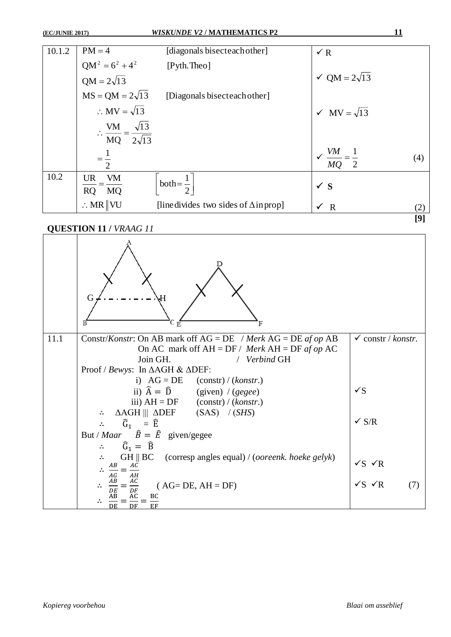| 10.1.2 | $PM = 4$                                                                | [diagonals bisecteach other]                 | $\sqrt{R}$                           |                                                                                                                                                                                                                                                                                              |
|--------|-------------------------------------------------------------------------|----------------------------------------------|--------------------------------------|----------------------------------------------------------------------------------------------------------------------------------------------------------------------------------------------------------------------------------------------------------------------------------------------|
|        | $QM^2 = 6^2 + 4^2$<br>QM = $2\sqrt{13}$                                 | [Pyth.Theo]                                  |                                      |                                                                                                                                                                                                                                                                                              |
|        |                                                                         |                                              | $\sqrt{QM} = 2\sqrt{13}$             |                                                                                                                                                                                                                                                                                              |
|        | $MS = QM = 2\sqrt{13}$                                                  | [Diagonals bisecteach other]                 |                                      |                                                                                                                                                                                                                                                                                              |
|        | $\therefore$ MV = $\sqrt{13}$                                           |                                              | $\sqrt{MV} = \sqrt{13}$              |                                                                                                                                                                                                                                                                                              |
|        | $\therefore \frac{\text{VM}}{\text{MQ}} = \frac{\sqrt{13}}{2\sqrt{13}}$ |                                              |                                      |                                                                                                                                                                                                                                                                                              |
|        |                                                                         |                                              |                                      |                                                                                                                                                                                                                                                                                              |
|        |                                                                         |                                              | $\sqrt{\frac{VM}{MQ}} = \frac{1}{2}$ | (4)                                                                                                                                                                                                                                                                                          |
|        |                                                                         |                                              |                                      |                                                                                                                                                                                                                                                                                              |
| 10.2   | <b>VM</b><br>UR                                                         |                                              |                                      |                                                                                                                                                                                                                                                                                              |
|        | RQ MQ                                                                   | both = $\frac{1}{2}$                         | $\checkmark$ S                       |                                                                                                                                                                                                                                                                                              |
|        | $\therefore$ MR   VU                                                    | [line divides two sides of $\Delta$ in prop] | $\sqrt{R}$                           | (2)                                                                                                                                                                                                                                                                                          |
|        |                                                                         |                                              |                                      | $[9] % \begin{subfigure}[t]{0.45\textwidth} \includegraphics[width=\textwidth]{figures/fig_10.pdf} \caption{The 3D (top) and the 4D (bottom) of the 3D (bottom) of the 3D (bottom) of the 3D (bottom) of the 3D (bottom) of the 3D (bottom).} \label{fig:1} \end{subfigure} \vspace{-1.0mm}$ |

**QUESTION 11 /** *VRAAG 11*